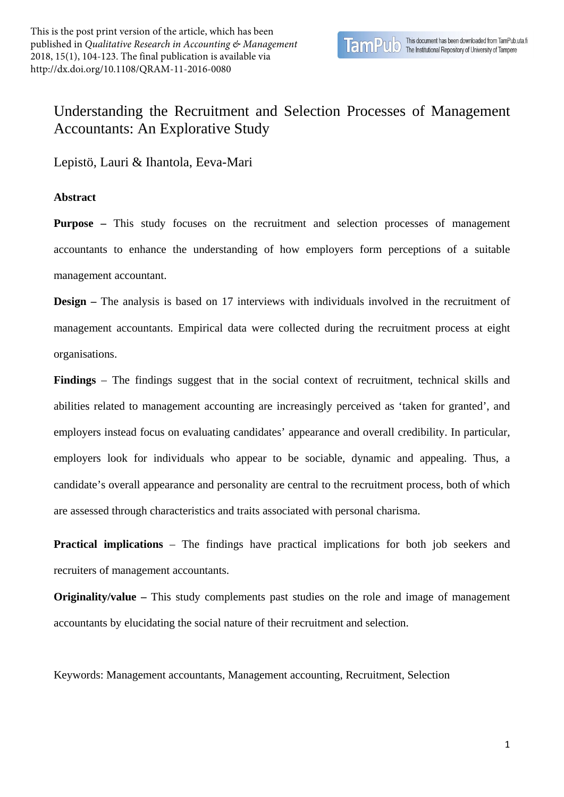## Understanding the Recruitment and Selection Processes of Management Accountants: An Explorative Study

Lepistö, Lauri & Ihantola, Eeva-Mari

## **Abstract**

**Purpose** – This study focuses on the recruitment and selection processes of management accountants to enhance the understanding of how employers form perceptions of a suitable management accountant.

**Design** – The analysis is based on 17 interviews with individuals involved in the recruitment of management accountants. Empirical data were collected during the recruitment process at eight organisations.

**Findings** – The findings suggest that in the social context of recruitment, technical skills and abilities related to management accounting are increasingly perceived as 'taken for granted', and employers instead focus on evaluating candidates' appearance and overall credibility. In particular, employers look for individuals who appear to be sociable, dynamic and appealing. Thus, a candidate's overall appearance and personality are central to the recruitment process, both of which are assessed through characteristics and traits associated with personal charisma.

**Practical implications** – The findings have practical implications for both job seekers and recruiters of management accountants.

**Originality/value** – This study complements past studies on the role and image of management accountants by elucidating the social nature of their recruitment and selection.

Keywords: Management accountants, Management accounting, Recruitment, Selection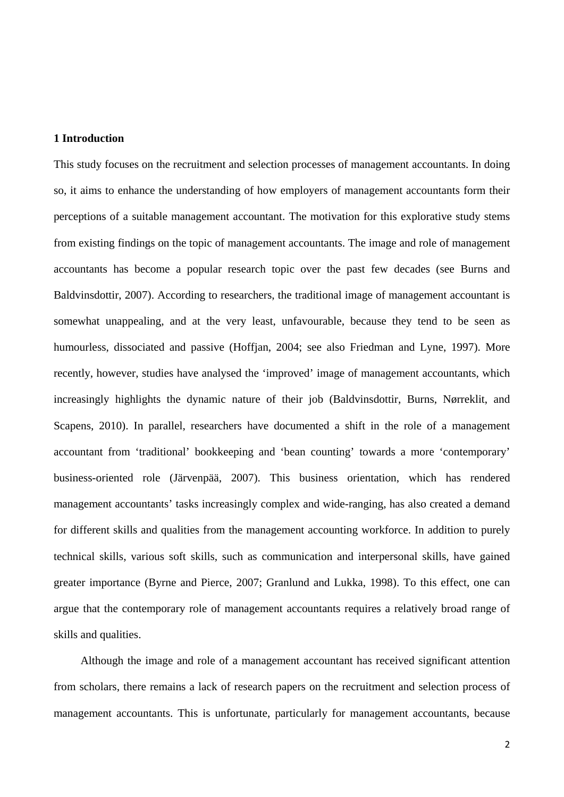## **1 Introduction**

This study focuses on the recruitment and selection processes of management accountants. In doing so, it aims to enhance the understanding of how employers of management accountants form their perceptions of a suitable management accountant. The motivation for this explorative study stems from existing findings on the topic of management accountants. The image and role of management accountants has become a popular research topic over the past few decades (see Burns and Baldvinsdottir, 2007). According to researchers, the traditional image of management accountant is somewhat unappealing, and at the very least, unfavourable, because they tend to be seen as humourless, dissociated and passive (Hoffjan, 2004; see also Friedman and Lyne, 1997). More recently, however, studies have analysed the 'improved' image of management accountants, which increasingly highlights the dynamic nature of their job (Baldvinsdottir, Burns, Nørreklit, and Scapens, 2010). In parallel, researchers have documented a shift in the role of a management accountant from 'traditional' bookkeeping and 'bean counting' towards a more 'contemporary' business-oriented role (Järvenpää, 2007). This business orientation, which has rendered management accountants' tasks increasingly complex and wide-ranging, has also created a demand for different skills and qualities from the management accounting workforce. In addition to purely technical skills, various soft skills, such as communication and interpersonal skills, have gained greater importance (Byrne and Pierce, 2007; Granlund and Lukka, 1998). To this effect, one can argue that the contemporary role of management accountants requires a relatively broad range of skills and qualities.

Although the image and role of a management accountant has received significant attention from scholars, there remains a lack of research papers on the recruitment and selection process of management accountants. This is unfortunate, particularly for management accountants, because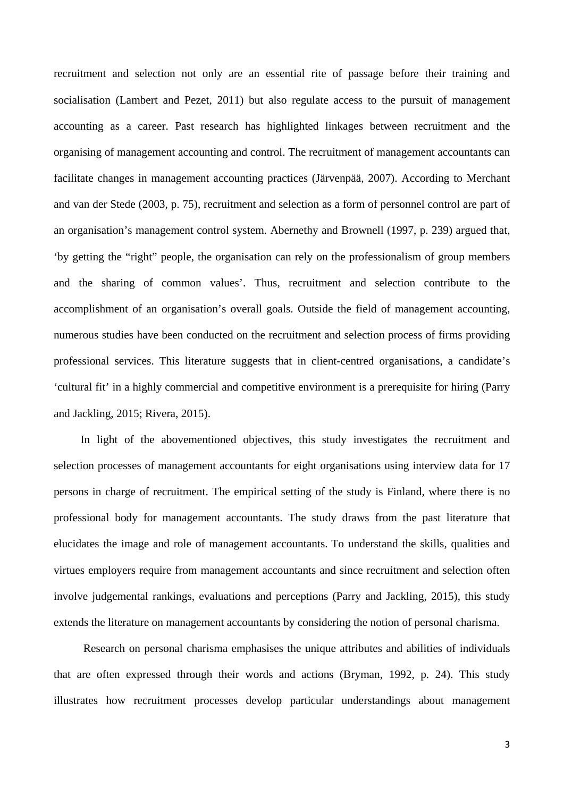recruitment and selection not only are an essential rite of passage before their training and socialisation (Lambert and Pezet, 2011) but also regulate access to the pursuit of management accounting as a career. Past research has highlighted linkages between recruitment and the organising of management accounting and control. The recruitment of management accountants can facilitate changes in management accounting practices (Järvenpää, 2007). According to Merchant and van der Stede (2003, p. 75), recruitment and selection as a form of personnel control are part of an organisation's management control system. Abernethy and Brownell (1997, p. 239) argued that, 'by getting the "right" people, the organisation can rely on the professionalism of group members and the sharing of common values'. Thus, recruitment and selection contribute to the accomplishment of an organisation's overall goals. Outside the field of management accounting, numerous studies have been conducted on the recruitment and selection process of firms providing professional services. This literature suggests that in client-centred organisations, a candidate's 'cultural fit' in a highly commercial and competitive environment is a prerequisite for hiring (Parry and Jackling, 2015; Rivera, 2015).

In light of the abovementioned objectives, this study investigates the recruitment and selection processes of management accountants for eight organisations using interview data for 17 persons in charge of recruitment. The empirical setting of the study is Finland, where there is no professional body for management accountants. The study draws from the past literature that elucidates the image and role of management accountants. To understand the skills, qualities and virtues employers require from management accountants and since recruitment and selection often involve judgemental rankings, evaluations and perceptions (Parry and Jackling, 2015), this study extends the literature on management accountants by considering the notion of personal charisma.

Research on personal charisma emphasises the unique attributes and abilities of individuals that are often expressed through their words and actions (Bryman, 1992, p. 24). This study illustrates how recruitment processes develop particular understandings about management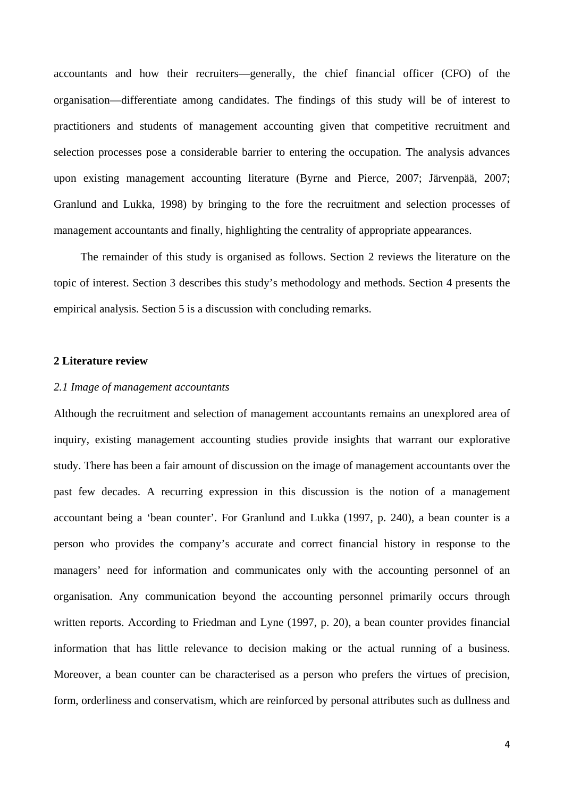accountants and how their recruiters—generally, the chief financial officer (CFO) of the organisation—differentiate among candidates. The findings of this study will be of interest to practitioners and students of management accounting given that competitive recruitment and selection processes pose a considerable barrier to entering the occupation. The analysis advances upon existing management accounting literature (Byrne and Pierce, 2007; Järvenpää, 2007; Granlund and Lukka, 1998) by bringing to the fore the recruitment and selection processes of management accountants and finally, highlighting the centrality of appropriate appearances.

The remainder of this study is organised as follows. Section 2 reviews the literature on the topic of interest. Section 3 describes this study's methodology and methods. Section 4 presents the empirical analysis. Section 5 is a discussion with concluding remarks.

## **2 Literature review**

## *2.1 Image of management accountants*

Although the recruitment and selection of management accountants remains an unexplored area of inquiry, existing management accounting studies provide insights that warrant our explorative study. There has been a fair amount of discussion on the image of management accountants over the past few decades. A recurring expression in this discussion is the notion of a management accountant being a 'bean counter'. For Granlund and Lukka (1997, p. 240), a bean counter is a person who provides the company's accurate and correct financial history in response to the managers' need for information and communicates only with the accounting personnel of an organisation. Any communication beyond the accounting personnel primarily occurs through written reports. According to Friedman and Lyne (1997, p. 20), a bean counter provides financial information that has little relevance to decision making or the actual running of a business. Moreover, a bean counter can be characterised as a person who prefers the virtues of precision, form, orderliness and conservatism, which are reinforced by personal attributes such as dullness and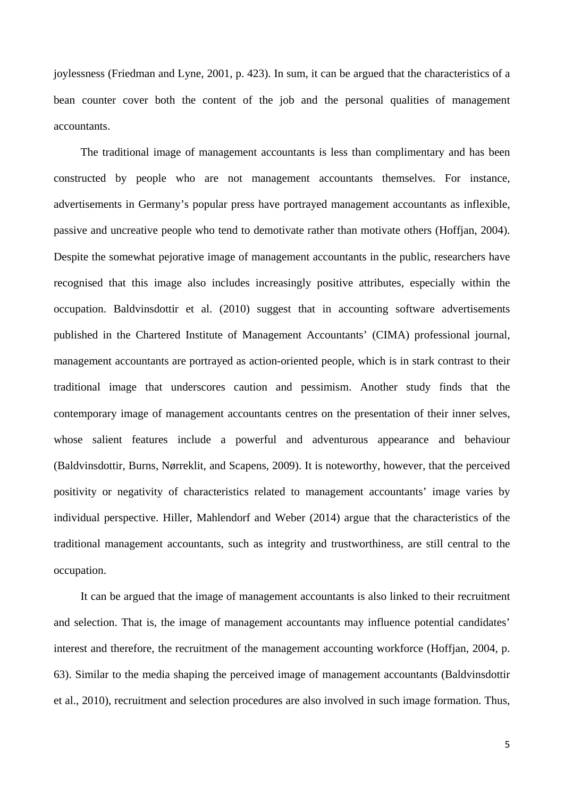joylessness (Friedman and Lyne, 2001, p. 423). In sum, it can be argued that the characteristics of a bean counter cover both the content of the job and the personal qualities of management accountants.

The traditional image of management accountants is less than complimentary and has been constructed by people who are not management accountants themselves. For instance, advertisements in Germany's popular press have portrayed management accountants as inflexible, passive and uncreative people who tend to demotivate rather than motivate others (Hoffjan, 2004). Despite the somewhat pejorative image of management accountants in the public, researchers have recognised that this image also includes increasingly positive attributes, especially within the occupation. Baldvinsdottir et al. (2010) suggest that in accounting software advertisements published in the Chartered Institute of Management Accountants' (CIMA) professional journal, management accountants are portrayed as action-oriented people, which is in stark contrast to their traditional image that underscores caution and pessimism. Another study finds that the contemporary image of management accountants centres on the presentation of their inner selves, whose salient features include a powerful and adventurous appearance and behaviour (Baldvinsdottir, Burns, Nørreklit, and Scapens, 2009). It is noteworthy, however, that the perceived positivity or negativity of characteristics related to management accountants' image varies by individual perspective. Hiller, Mahlendorf and Weber (2014) argue that the characteristics of the traditional management accountants, such as integrity and trustworthiness, are still central to the occupation.

It can be argued that the image of management accountants is also linked to their recruitment and selection. That is, the image of management accountants may influence potential candidates' interest and therefore, the recruitment of the management accounting workforce (Hoffjan, 2004, p. 63). Similar to the media shaping the perceived image of management accountants (Baldvinsdottir et al., 2010), recruitment and selection procedures are also involved in such image formation. Thus,

5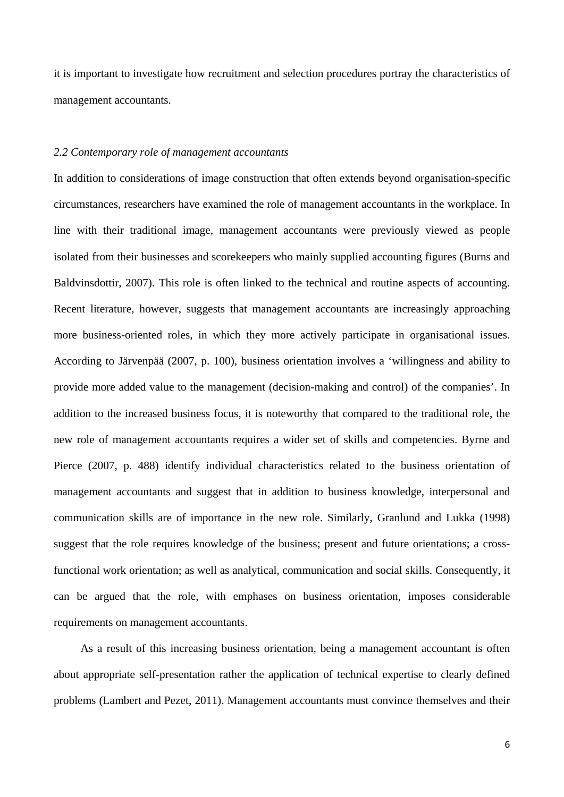it is important to investigate how recruitment and selection procedures portray the characteristics of management accountants.

## *2.2 Contemporary role of management accountants*

In addition to considerations of image construction that often extends beyond organisation-specific circumstances, researchers have examined the role of management accountants in the workplace. In line with their traditional image, management accountants were previously viewed as people isolated from their businesses and scorekeepers who mainly supplied accounting figures (Burns and Baldvinsdottir, 2007). This role is often linked to the technical and routine aspects of accounting. Recent literature, however, suggests that management accountants are increasingly approaching more business-oriented roles, in which they more actively participate in organisational issues. According to Järvenpää (2007, p. 100), business orientation involves a 'willingness and ability to provide more added value to the management (decision-making and control) of the companies'. In addition to the increased business focus, it is noteworthy that compared to the traditional role, the new role of management accountants requires a wider set of skills and competencies. Byrne and Pierce (2007, p. 488) identify individual characteristics related to the business orientation of management accountants and suggest that in addition to business knowledge, interpersonal and communication skills are of importance in the new role. Similarly, Granlund and Lukka (1998) suggest that the role requires knowledge of the business; present and future orientations; a crossfunctional work orientation; as well as analytical, communication and social skills. Consequently, it can be argued that the role, with emphases on business orientation, imposes considerable requirements on management accountants.

As a result of this increasing business orientation, being a management accountant is often about appropriate self-presentation rather the application of technical expertise to clearly defined problems (Lambert and Pezet, 2011). Management accountants must convince themselves and their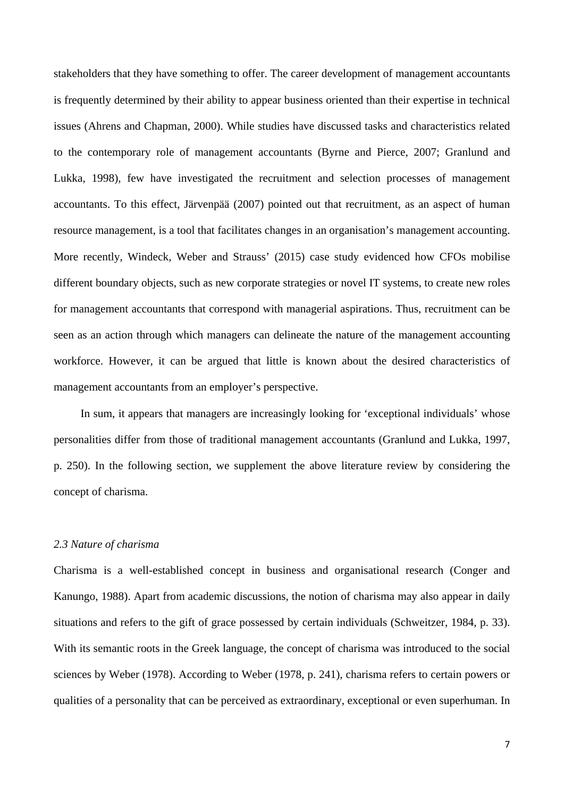stakeholders that they have something to offer. The career development of management accountants is frequently determined by their ability to appear business oriented than their expertise in technical issues (Ahrens and Chapman, 2000). While studies have discussed tasks and characteristics related to the contemporary role of management accountants (Byrne and Pierce, 2007; Granlund and Lukka, 1998), few have investigated the recruitment and selection processes of management accountants. To this effect, Järvenpää (2007) pointed out that recruitment, as an aspect of human resource management, is a tool that facilitates changes in an organisation's management accounting. More recently, Windeck, Weber and Strauss' (2015) case study evidenced how CFOs mobilise different boundary objects, such as new corporate strategies or novel IT systems, to create new roles for management accountants that correspond with managerial aspirations. Thus, recruitment can be seen as an action through which managers can delineate the nature of the management accounting workforce. However, it can be argued that little is known about the desired characteristics of management accountants from an employer's perspective.

In sum, it appears that managers are increasingly looking for 'exceptional individuals' whose personalities differ from those of traditional management accountants (Granlund and Lukka, 1997, p. 250). In the following section, we supplement the above literature review by considering the concept of charisma.

### *2.3 Nature of charisma*

Charisma is a well-established concept in business and organisational research (Conger and Kanungo, 1988). Apart from academic discussions, the notion of charisma may also appear in daily situations and refers to the gift of grace possessed by certain individuals (Schweitzer, 1984, p. 33). With its semantic roots in the Greek language, the concept of charisma was introduced to the social sciences by Weber (1978). According to Weber (1978, p. 241), charisma refers to certain powers or qualities of a personality that can be perceived as extraordinary, exceptional or even superhuman. In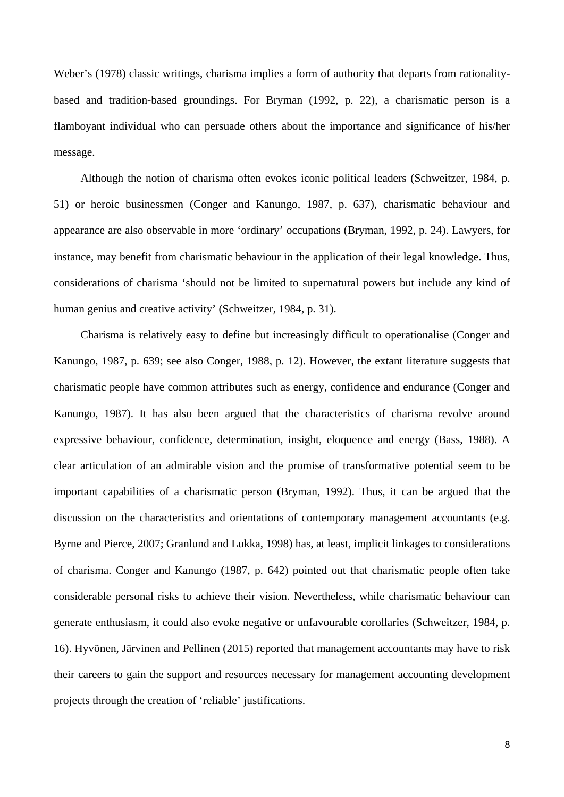Weber's (1978) classic writings, charisma implies a form of authority that departs from rationalitybased and tradition-based groundings. For Bryman (1992, p. 22), a charismatic person is a flamboyant individual who can persuade others about the importance and significance of his/her message.

Although the notion of charisma often evokes iconic political leaders (Schweitzer, 1984, p. 51) or heroic businessmen (Conger and Kanungo, 1987, p. 637), charismatic behaviour and appearance are also observable in more 'ordinary' occupations (Bryman, 1992, p. 24). Lawyers, for instance, may benefit from charismatic behaviour in the application of their legal knowledge. Thus, considerations of charisma 'should not be limited to supernatural powers but include any kind of human genius and creative activity' (Schweitzer, 1984, p. 31).

Charisma is relatively easy to define but increasingly difficult to operationalise (Conger and Kanungo, 1987, p. 639; see also Conger, 1988, p. 12). However, the extant literature suggests that charismatic people have common attributes such as energy, confidence and endurance (Conger and Kanungo, 1987). It has also been argued that the characteristics of charisma revolve around expressive behaviour, confidence, determination, insight, eloquence and energy (Bass, 1988). A clear articulation of an admirable vision and the promise of transformative potential seem to be important capabilities of a charismatic person (Bryman, 1992). Thus, it can be argued that the discussion on the characteristics and orientations of contemporary management accountants (e.g. Byrne and Pierce, 2007; Granlund and Lukka, 1998) has, at least, implicit linkages to considerations of charisma. Conger and Kanungo (1987, p. 642) pointed out that charismatic people often take considerable personal risks to achieve their vision. Nevertheless, while charismatic behaviour can generate enthusiasm, it could also evoke negative or unfavourable corollaries (Schweitzer, 1984, p. 16). Hyvönen, Järvinen and Pellinen (2015) reported that management accountants may have to risk their careers to gain the support and resources necessary for management accounting development projects through the creation of 'reliable' justifications.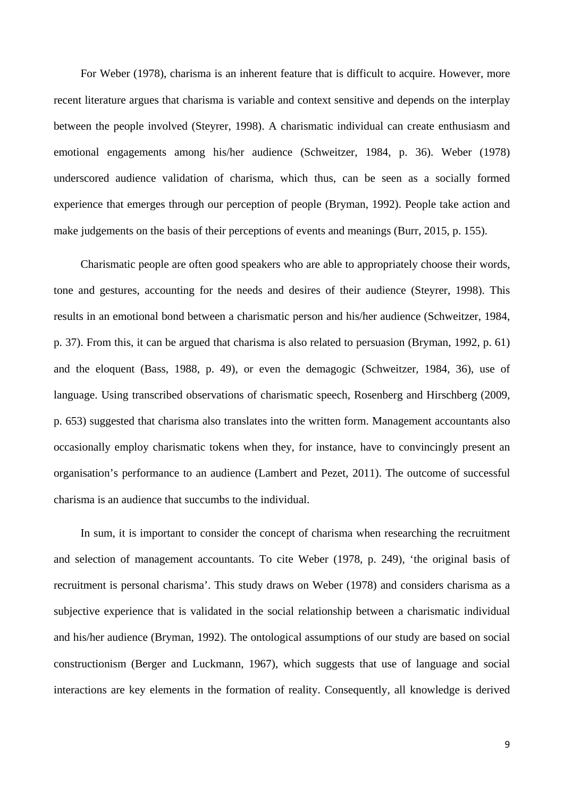For Weber (1978), charisma is an inherent feature that is difficult to acquire. However, more recent literature argues that charisma is variable and context sensitive and depends on the interplay between the people involved (Steyrer, 1998). A charismatic individual can create enthusiasm and emotional engagements among his/her audience (Schweitzer, 1984, p. 36). Weber (1978) underscored audience validation of charisma, which thus, can be seen as a socially formed experience that emerges through our perception of people (Bryman, 1992). People take action and make judgements on the basis of their perceptions of events and meanings (Burr, 2015, p. 155).

Charismatic people are often good speakers who are able to appropriately choose their words, tone and gestures, accounting for the needs and desires of their audience (Steyrer, 1998). This results in an emotional bond between a charismatic person and his/her audience (Schweitzer, 1984, p. 37). From this, it can be argued that charisma is also related to persuasion (Bryman, 1992, p. 61) and the eloquent (Bass, 1988, p. 49), or even the demagogic (Schweitzer, 1984, 36), use of language. Using transcribed observations of charismatic speech, Rosenberg and Hirschberg (2009, p. 653) suggested that charisma also translates into the written form. Management accountants also occasionally employ charismatic tokens when they, for instance, have to convincingly present an organisation's performance to an audience (Lambert and Pezet, 2011). The outcome of successful charisma is an audience that succumbs to the individual.

In sum, it is important to consider the concept of charisma when researching the recruitment and selection of management accountants. To cite Weber (1978, p. 249), 'the original basis of recruitment is personal charisma'. This study draws on Weber (1978) and considers charisma as a subjective experience that is validated in the social relationship between a charismatic individual and his/her audience (Bryman, 1992). The ontological assumptions of our study are based on social constructionism (Berger and Luckmann, 1967), which suggests that use of language and social interactions are key elements in the formation of reality. Consequently, all knowledge is derived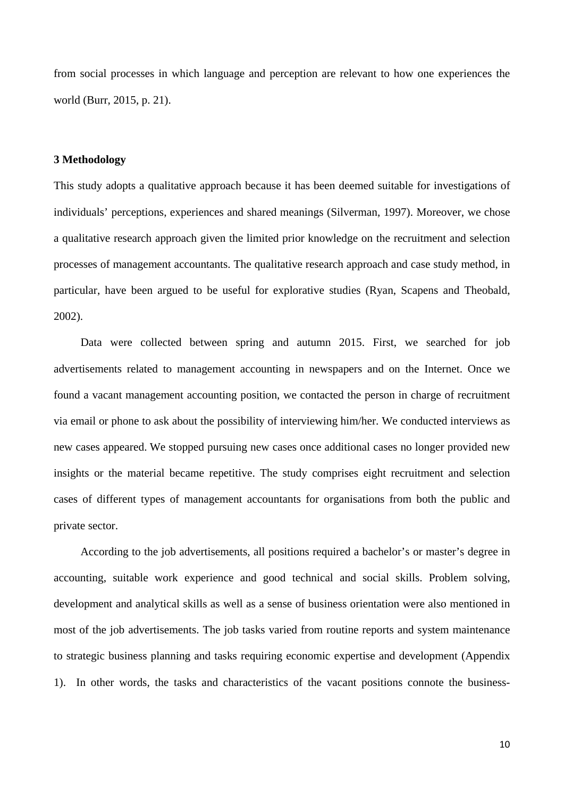from social processes in which language and perception are relevant to how one experiences the world (Burr, 2015, p. 21).

## **3 Methodology**

This study adopts a qualitative approach because it has been deemed suitable for investigations of individuals' perceptions, experiences and shared meanings (Silverman, 1997). Moreover, we chose a qualitative research approach given the limited prior knowledge on the recruitment and selection processes of management accountants. The qualitative research approach and case study method, in particular, have been argued to be useful for explorative studies (Ryan, Scapens and Theobald, 2002).

Data were collected between spring and autumn 2015. First, we searched for job advertisements related to management accounting in newspapers and on the Internet. Once we found a vacant management accounting position, we contacted the person in charge of recruitment via email or phone to ask about the possibility of interviewing him/her. We conducted interviews as new cases appeared. We stopped pursuing new cases once additional cases no longer provided new insights or the material became repetitive. The study comprises eight recruitment and selection cases of different types of management accountants for organisations from both the public and private sector.

According to the job advertisements, all positions required a bachelor's or master's degree in accounting, suitable work experience and good technical and social skills. Problem solving, development and analytical skills as well as a sense of business orientation were also mentioned in most of the job advertisements. The job tasks varied from routine reports and system maintenance to strategic business planning and tasks requiring economic expertise and development (Appendix 1). In other words, the tasks and characteristics of the vacant positions connote the business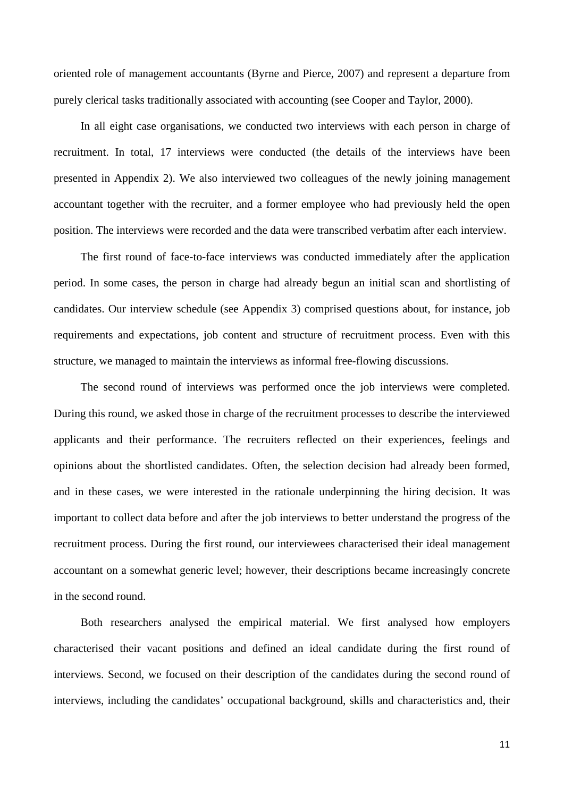oriented role of management accountants (Byrne and Pierce, 2007) and represent a departure from purely clerical tasks traditionally associated with accounting (see Cooper and Taylor, 2000).

In all eight case organisations, we conducted two interviews with each person in charge of recruitment. In total, 17 interviews were conducted (the details of the interviews have been presented in Appendix 2). We also interviewed two colleagues of the newly joining management accountant together with the recruiter, and a former employee who had previously held the open position. The interviews were recorded and the data were transcribed verbatim after each interview.

The first round of face-to-face interviews was conducted immediately after the application period. In some cases, the person in charge had already begun an initial scan and shortlisting of candidates. Our interview schedule (see Appendix 3) comprised questions about, for instance, job requirements and expectations, job content and structure of recruitment process. Even with this structure, we managed to maintain the interviews as informal free-flowing discussions.

The second round of interviews was performed once the job interviews were completed. During this round, we asked those in charge of the recruitment processes to describe the interviewed applicants and their performance. The recruiters reflected on their experiences, feelings and opinions about the shortlisted candidates. Often, the selection decision had already been formed, and in these cases, we were interested in the rationale underpinning the hiring decision. It was important to collect data before and after the job interviews to better understand the progress of the recruitment process. During the first round, our interviewees characterised their ideal management accountant on a somewhat generic level; however, their descriptions became increasingly concrete in the second round.

Both researchers analysed the empirical material. We first analysed how employers characterised their vacant positions and defined an ideal candidate during the first round of interviews. Second, we focused on their description of the candidates during the second round of interviews, including the candidates' occupational background, skills and characteristics and, their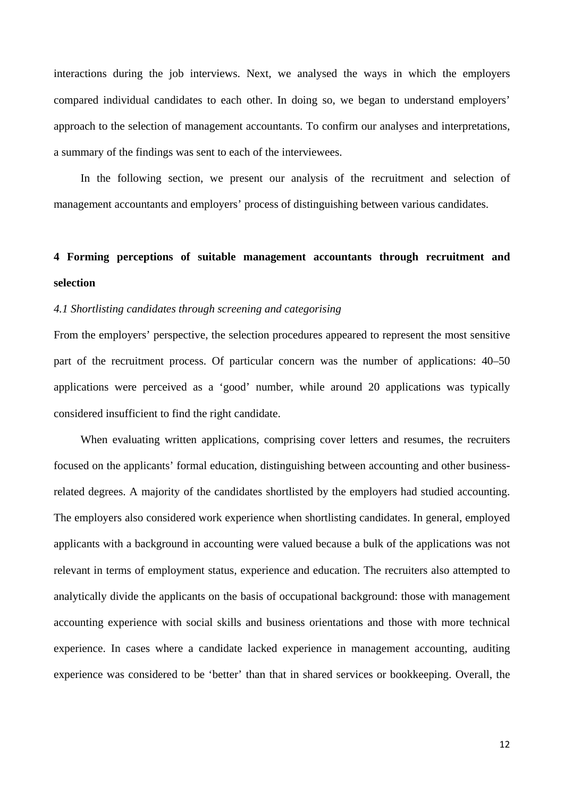interactions during the job interviews. Next, we analysed the ways in which the employers compared individual candidates to each other. In doing so, we began to understand employers' approach to the selection of management accountants. To confirm our analyses and interpretations, a summary of the findings was sent to each of the interviewees.

In the following section, we present our analysis of the recruitment and selection of management accountants and employers' process of distinguishing between various candidates.

# **4 Forming perceptions of suitable management accountants through recruitment and selection**

## *4.1 Shortlisting candidates through screening and categorising*

From the employers' perspective, the selection procedures appeared to represent the most sensitive part of the recruitment process. Of particular concern was the number of applications: 40–50 applications were perceived as a 'good' number, while around 20 applications was typically considered insufficient to find the right candidate.

When evaluating written applications, comprising cover letters and resumes, the recruiters focused on the applicants' formal education, distinguishing between accounting and other businessrelated degrees. A majority of the candidates shortlisted by the employers had studied accounting. The employers also considered work experience when shortlisting candidates. In general, employed applicants with a background in accounting were valued because a bulk of the applications was not relevant in terms of employment status, experience and education. The recruiters also attempted to analytically divide the applicants on the basis of occupational background: those with management accounting experience with social skills and business orientations and those with more technical experience. In cases where a candidate lacked experience in management accounting, auditing experience was considered to be 'better' than that in shared services or bookkeeping. Overall, the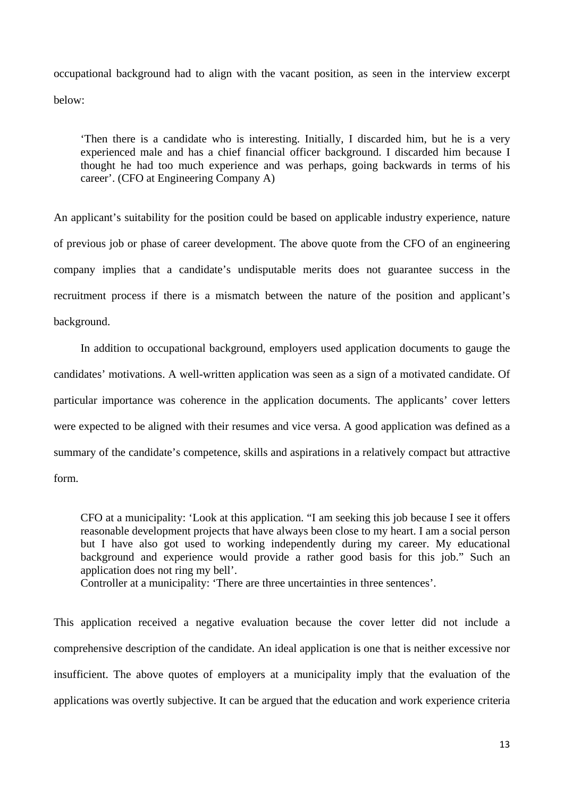occupational background had to align with the vacant position, as seen in the interview excerpt below:

'Then there is a candidate who is interesting. Initially, I discarded him, but he is a very experienced male and has a chief financial officer background. I discarded him because I thought he had too much experience and was perhaps, going backwards in terms of his career'. (CFO at Engineering Company A)

An applicant's suitability for the position could be based on applicable industry experience, nature of previous job or phase of career development. The above quote from the CFO of an engineering company implies that a candidate's undisputable merits does not guarantee success in the recruitment process if there is a mismatch between the nature of the position and applicant's background.

In addition to occupational background, employers used application documents to gauge the candidates' motivations. A well-written application was seen as a sign of a motivated candidate. Of particular importance was coherence in the application documents. The applicants' cover letters were expected to be aligned with their resumes and vice versa. A good application was defined as a summary of the candidate's competence, skills and aspirations in a relatively compact but attractive form.

CFO at a municipality: 'Look at this application. "I am seeking this job because I see it offers reasonable development projects that have always been close to my heart. I am a social person but I have also got used to working independently during my career. My educational background and experience would provide a rather good basis for this job." Such an application does not ring my bell'.

Controller at a municipality: 'There are three uncertainties in three sentences'.

This application received a negative evaluation because the cover letter did not include a comprehensive description of the candidate. An ideal application is one that is neither excessive nor insufficient. The above quotes of employers at a municipality imply that the evaluation of the applications was overtly subjective. It can be argued that the education and work experience criteria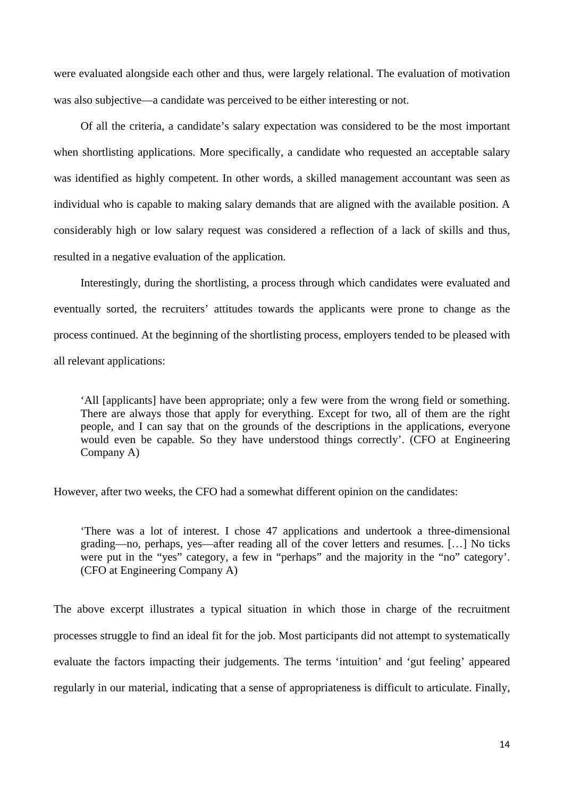were evaluated alongside each other and thus, were largely relational. The evaluation of motivation was also subjective—a candidate was perceived to be either interesting or not.

Of all the criteria, a candidate's salary expectation was considered to be the most important when shortlisting applications. More specifically, a candidate who requested an acceptable salary was identified as highly competent. In other words, a skilled management accountant was seen as individual who is capable to making salary demands that are aligned with the available position. A considerably high or low salary request was considered a reflection of a lack of skills and thus, resulted in a negative evaluation of the application.

Interestingly, during the shortlisting, a process through which candidates were evaluated and eventually sorted, the recruiters' attitudes towards the applicants were prone to change as the process continued. At the beginning of the shortlisting process, employers tended to be pleased with all relevant applications:

'All [applicants] have been appropriate; only a few were from the wrong field or something. There are always those that apply for everything. Except for two, all of them are the right people, and I can say that on the grounds of the descriptions in the applications, everyone would even be capable. So they have understood things correctly'. (CFO at Engineering Company A)

However, after two weeks, the CFO had a somewhat different opinion on the candidates:

'There was a lot of interest. I chose 47 applications and undertook a three-dimensional grading—no, perhaps, yes—after reading all of the cover letters and resumes. […] No ticks were put in the "yes" category, a few in "perhaps" and the majority in the "no" category'. (CFO at Engineering Company A)

The above excerpt illustrates a typical situation in which those in charge of the recruitment processes struggle to find an ideal fit for the job. Most participants did not attempt to systematically evaluate the factors impacting their judgements. The terms 'intuition' and 'gut feeling' appeared regularly in our material, indicating that a sense of appropriateness is difficult to articulate. Finally,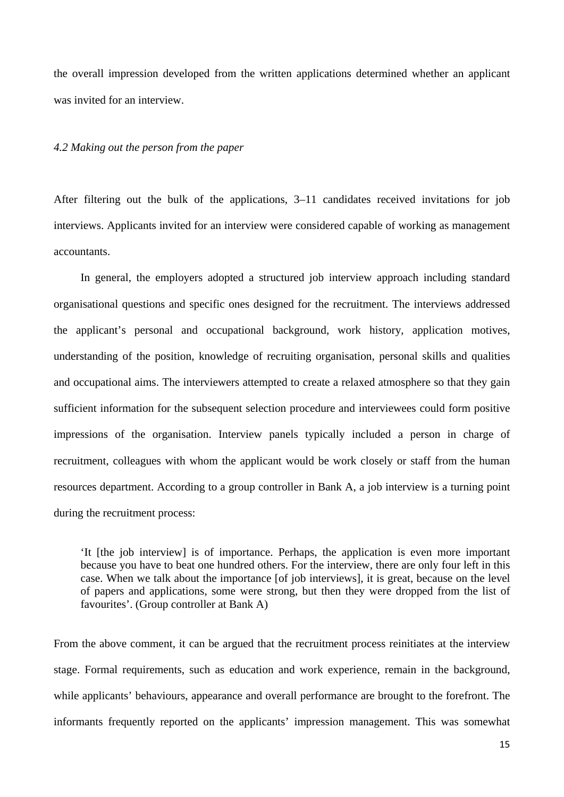the overall impression developed from the written applications determined whether an applicant was invited for an interview.

#### *4.2 Making out the person from the paper*

After filtering out the bulk of the applications, 3–11 candidates received invitations for job interviews. Applicants invited for an interview were considered capable of working as management accountants.

In general, the employers adopted a structured job interview approach including standard organisational questions and specific ones designed for the recruitment. The interviews addressed the applicant's personal and occupational background, work history, application motives, understanding of the position, knowledge of recruiting organisation, personal skills and qualities and occupational aims. The interviewers attempted to create a relaxed atmosphere so that they gain sufficient information for the subsequent selection procedure and interviewees could form positive impressions of the organisation. Interview panels typically included a person in charge of recruitment, colleagues with whom the applicant would be work closely or staff from the human resources department. According to a group controller in Bank A, a job interview is a turning point during the recruitment process:

'It [the job interview] is of importance. Perhaps, the application is even more important because you have to beat one hundred others. For the interview, there are only four left in this case. When we talk about the importance [of job interviews], it is great, because on the level of papers and applications, some were strong, but then they were dropped from the list of favourites'. (Group controller at Bank A)

From the above comment, it can be argued that the recruitment process reinitiates at the interview stage. Formal requirements, such as education and work experience, remain in the background, while applicants' behaviours, appearance and overall performance are brought to the forefront. The informants frequently reported on the applicants' impression management. This was somewhat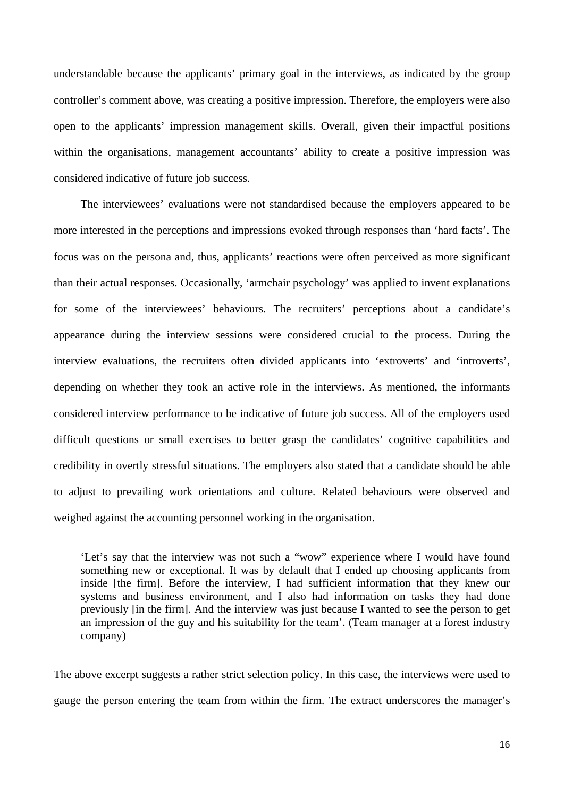understandable because the applicants' primary goal in the interviews, as indicated by the group controller's comment above, was creating a positive impression. Therefore, the employers were also open to the applicants' impression management skills. Overall, given their impactful positions within the organisations, management accountants' ability to create a positive impression was considered indicative of future job success.

The interviewees' evaluations were not standardised because the employers appeared to be more interested in the perceptions and impressions evoked through responses than 'hard facts'. The focus was on the persona and, thus, applicants' reactions were often perceived as more significant than their actual responses. Occasionally, 'armchair psychology' was applied to invent explanations for some of the interviewees' behaviours. The recruiters' perceptions about a candidate's appearance during the interview sessions were considered crucial to the process. During the interview evaluations, the recruiters often divided applicants into 'extroverts' and 'introverts', depending on whether they took an active role in the interviews. As mentioned, the informants considered interview performance to be indicative of future job success. All of the employers used difficult questions or small exercises to better grasp the candidates' cognitive capabilities and credibility in overtly stressful situations. The employers also stated that a candidate should be able to adjust to prevailing work orientations and culture. Related behaviours were observed and weighed against the accounting personnel working in the organisation.

'Let's say that the interview was not such a "wow" experience where I would have found something new or exceptional. It was by default that I ended up choosing applicants from inside [the firm]. Before the interview, I had sufficient information that they knew our systems and business environment, and I also had information on tasks they had done previously [in the firm]. And the interview was just because I wanted to see the person to get an impression of the guy and his suitability for the team'. (Team manager at a forest industry company)

The above excerpt suggests a rather strict selection policy. In this case, the interviews were used to gauge the person entering the team from within the firm. The extract underscores the manager's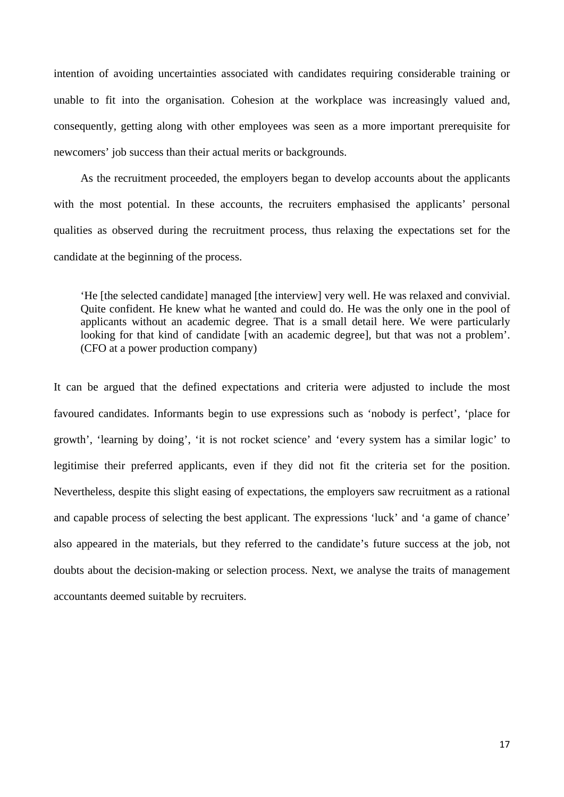intention of avoiding uncertainties associated with candidates requiring considerable training or unable to fit into the organisation. Cohesion at the workplace was increasingly valued and, consequently, getting along with other employees was seen as a more important prerequisite for newcomers' job success than their actual merits or backgrounds.

As the recruitment proceeded, the employers began to develop accounts about the applicants with the most potential. In these accounts, the recruiters emphasised the applicants' personal qualities as observed during the recruitment process, thus relaxing the expectations set for the candidate at the beginning of the process.

'He [the selected candidate] managed [the interview] very well. He was relaxed and convivial. Quite confident. He knew what he wanted and could do. He was the only one in the pool of applicants without an academic degree. That is a small detail here. We were particularly looking for that kind of candidate [with an academic degree], but that was not a problem'. (CFO at a power production company)

It can be argued that the defined expectations and criteria were adjusted to include the most favoured candidates. Informants begin to use expressions such as 'nobody is perfect', 'place for growth', 'learning by doing', 'it is not rocket science' and 'every system has a similar logic' to legitimise their preferred applicants, even if they did not fit the criteria set for the position. Nevertheless, despite this slight easing of expectations, the employers saw recruitment as a rational and capable process of selecting the best applicant. The expressions 'luck' and 'a game of chance' also appeared in the materials, but they referred to the candidate's future success at the job, not doubts about the decision-making or selection process. Next, we analyse the traits of management accountants deemed suitable by recruiters.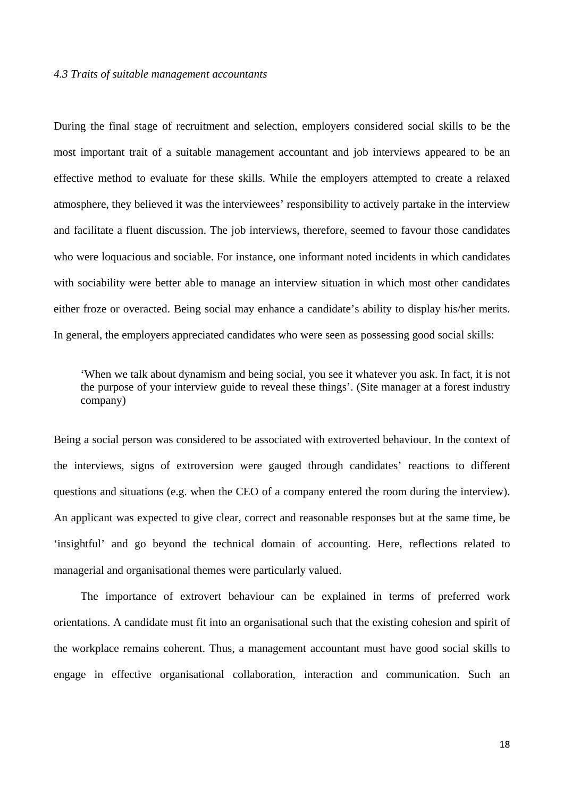#### *4.3 Traits of suitable management accountants*

During the final stage of recruitment and selection, employers considered social skills to be the most important trait of a suitable management accountant and job interviews appeared to be an effective method to evaluate for these skills. While the employers attempted to create a relaxed atmosphere, they believed it was the interviewees' responsibility to actively partake in the interview and facilitate a fluent discussion. The job interviews, therefore, seemed to favour those candidates who were loquacious and sociable. For instance, one informant noted incidents in which candidates with sociability were better able to manage an interview situation in which most other candidates either froze or overacted. Being social may enhance a candidate's ability to display his/her merits. In general, the employers appreciated candidates who were seen as possessing good social skills:

'When we talk about dynamism and being social, you see it whatever you ask. In fact, it is not the purpose of your interview guide to reveal these things'. (Site manager at a forest industry company)

Being a social person was considered to be associated with extroverted behaviour. In the context of the interviews, signs of extroversion were gauged through candidates' reactions to different questions and situations (e.g. when the CEO of a company entered the room during the interview). An applicant was expected to give clear, correct and reasonable responses but at the same time, be 'insightful' and go beyond the technical domain of accounting. Here, reflections related to managerial and organisational themes were particularly valued.

The importance of extrovert behaviour can be explained in terms of preferred work orientations. A candidate must fit into an organisational such that the existing cohesion and spirit of the workplace remains coherent. Thus, a management accountant must have good social skills to engage in effective organisational collaboration, interaction and communication. Such an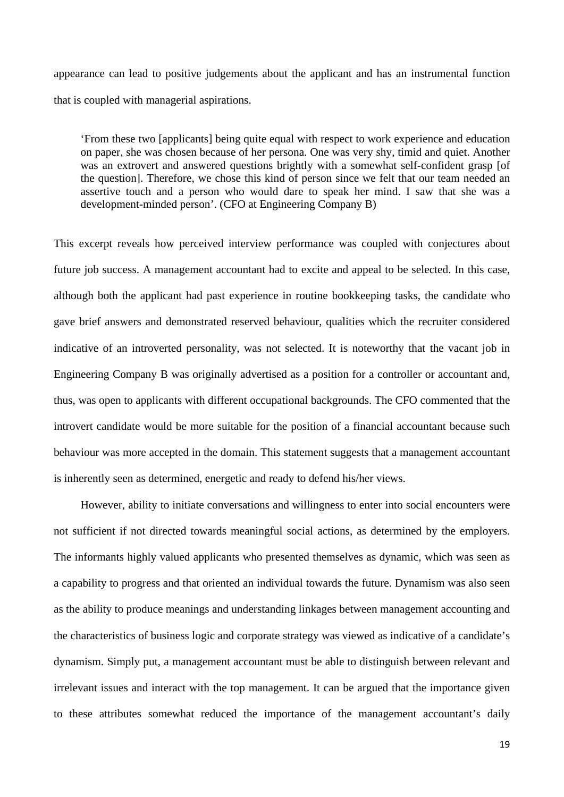appearance can lead to positive judgements about the applicant and has an instrumental function that is coupled with managerial aspirations.

'From these two [applicants] being quite equal with respect to work experience and education on paper, she was chosen because of her persona. One was very shy, timid and quiet. Another was an extrovert and answered questions brightly with a somewhat self-confident grasp [of the question]. Therefore, we chose this kind of person since we felt that our team needed an assertive touch and a person who would dare to speak her mind. I saw that she was a development-minded person'. (CFO at Engineering Company B)

This excerpt reveals how perceived interview performance was coupled with conjectures about future job success. A management accountant had to excite and appeal to be selected. In this case, although both the applicant had past experience in routine bookkeeping tasks, the candidate who gave brief answers and demonstrated reserved behaviour, qualities which the recruiter considered indicative of an introverted personality, was not selected. It is noteworthy that the vacant job in Engineering Company B was originally advertised as a position for a controller or accountant and, thus, was open to applicants with different occupational backgrounds. The CFO commented that the introvert candidate would be more suitable for the position of a financial accountant because such behaviour was more accepted in the domain. This statement suggests that a management accountant is inherently seen as determined, energetic and ready to defend his/her views.

However, ability to initiate conversations and willingness to enter into social encounters were not sufficient if not directed towards meaningful social actions, as determined by the employers. The informants highly valued applicants who presented themselves as dynamic, which was seen as a capability to progress and that oriented an individual towards the future. Dynamism was also seen as the ability to produce meanings and understanding linkages between management accounting and the characteristics of business logic and corporate strategy was viewed as indicative of a candidate's dynamism. Simply put, a management accountant must be able to distinguish between relevant and irrelevant issues and interact with the top management. It can be argued that the importance given to these attributes somewhat reduced the importance of the management accountant's daily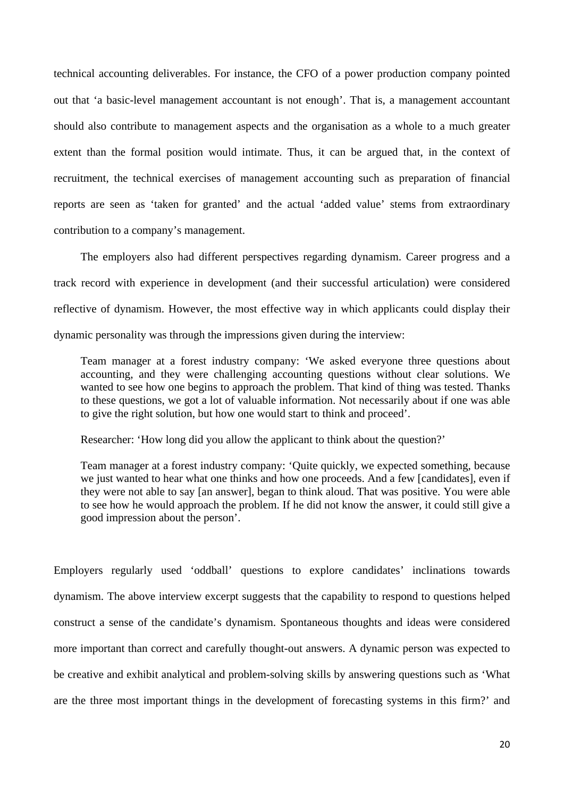technical accounting deliverables. For instance, the CFO of a power production company pointed out that 'a basic-level management accountant is not enough'. That is, a management accountant should also contribute to management aspects and the organisation as a whole to a much greater extent than the formal position would intimate. Thus, it can be argued that, in the context of recruitment, the technical exercises of management accounting such as preparation of financial reports are seen as 'taken for granted' and the actual 'added value' stems from extraordinary contribution to a company's management.

The employers also had different perspectives regarding dynamism. Career progress and a track record with experience in development (and their successful articulation) were considered reflective of dynamism. However, the most effective way in which applicants could display their dynamic personality was through the impressions given during the interview:

Team manager at a forest industry company: 'We asked everyone three questions about accounting, and they were challenging accounting questions without clear solutions. We wanted to see how one begins to approach the problem. That kind of thing was tested. Thanks to these questions, we got a lot of valuable information. Not necessarily about if one was able to give the right solution, but how one would start to think and proceed'.

Researcher: 'How long did you allow the applicant to think about the question?'

Team manager at a forest industry company: 'Quite quickly, we expected something, because we just wanted to hear what one thinks and how one proceeds. And a few [candidates], even if they were not able to say [an answer], began to think aloud. That was positive. You were able to see how he would approach the problem. If he did not know the answer, it could still give a good impression about the person'.

Employers regularly used 'oddball' questions to explore candidates' inclinations towards dynamism. The above interview excerpt suggests that the capability to respond to questions helped construct a sense of the candidate's dynamism. Spontaneous thoughts and ideas were considered more important than correct and carefully thought-out answers. A dynamic person was expected to be creative and exhibit analytical and problem-solving skills by answering questions such as 'What are the three most important things in the development of forecasting systems in this firm?' and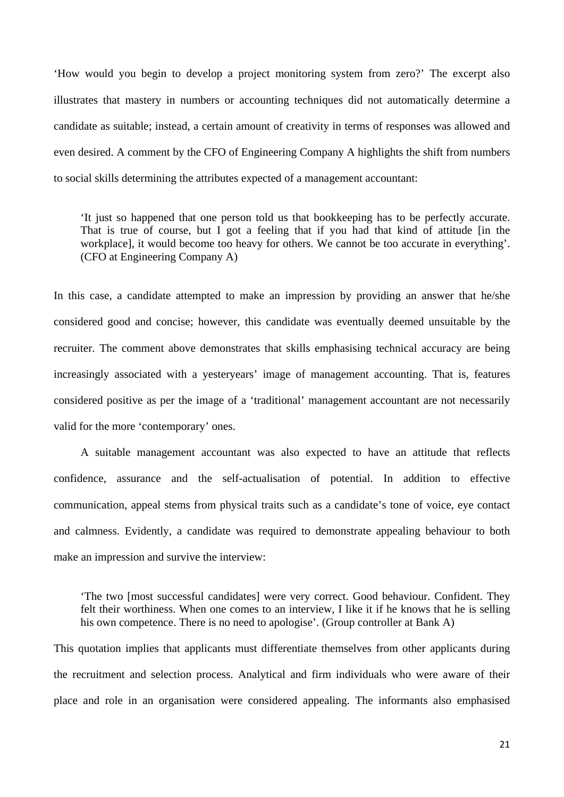'How would you begin to develop a project monitoring system from zero?' The excerpt also illustrates that mastery in numbers or accounting techniques did not automatically determine a candidate as suitable; instead, a certain amount of creativity in terms of responses was allowed and even desired. A comment by the CFO of Engineering Company A highlights the shift from numbers to social skills determining the attributes expected of a management accountant:

'It just so happened that one person told us that bookkeeping has to be perfectly accurate. That is true of course, but I got a feeling that if you had that kind of attitude [in the workplace], it would become too heavy for others. We cannot be too accurate in everything'. (CFO at Engineering Company A)

In this case, a candidate attempted to make an impression by providing an answer that he/she considered good and concise; however, this candidate was eventually deemed unsuitable by the recruiter. The comment above demonstrates that skills emphasising technical accuracy are being increasingly associated with a yesteryears' image of management accounting. That is, features considered positive as per the image of a 'traditional' management accountant are not necessarily valid for the more 'contemporary' ones.

A suitable management accountant was also expected to have an attitude that reflects confidence, assurance and the self-actualisation of potential. In addition to effective communication, appeal stems from physical traits such as a candidate's tone of voice, eye contact and calmness. Evidently, a candidate was required to demonstrate appealing behaviour to both make an impression and survive the interview:

'The two [most successful candidates] were very correct. Good behaviour. Confident. They felt their worthiness. When one comes to an interview, I like it if he knows that he is selling his own competence. There is no need to apologise'. (Group controller at Bank A)

This quotation implies that applicants must differentiate themselves from other applicants during the recruitment and selection process. Analytical and firm individuals who were aware of their place and role in an organisation were considered appealing. The informants also emphasised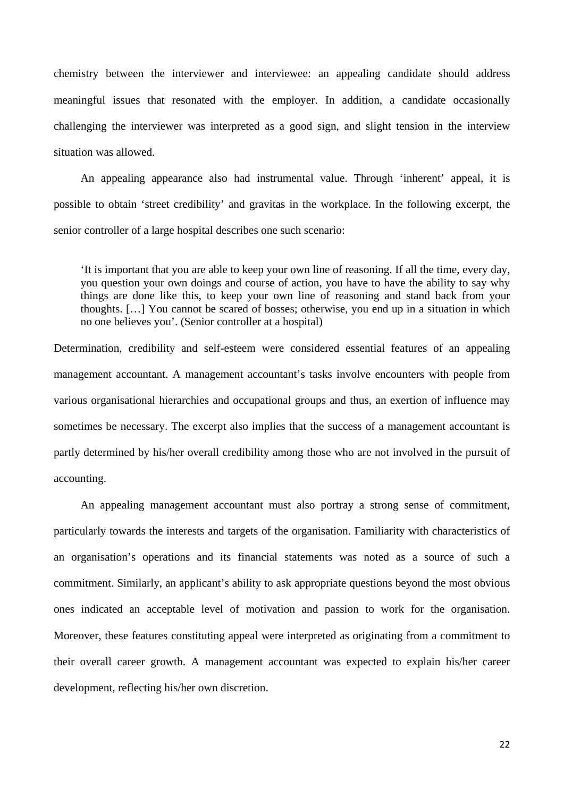chemistry between the interviewer and interviewee: an appealing candidate should address meaningful issues that resonated with the employer. In addition, a candidate occasionally challenging the interviewer was interpreted as a good sign, and slight tension in the interview situation was allowed.

An appealing appearance also had instrumental value. Through 'inherent' appeal, it is possible to obtain 'street credibility' and gravitas in the workplace. In the following excerpt, the senior controller of a large hospital describes one such scenario:

'It is important that you are able to keep your own line of reasoning. If all the time, every day, you question your own doings and course of action, you have to have the ability to say why things are done like this, to keep your own line of reasoning and stand back from your thoughts. […] You cannot be scared of bosses; otherwise, you end up in a situation in which no one believes you'. (Senior controller at a hospital)

Determination, credibility and self-esteem were considered essential features of an appealing management accountant. A management accountant's tasks involve encounters with people from various organisational hierarchies and occupational groups and thus, an exertion of influence may sometimes be necessary. The excerpt also implies that the success of a management accountant is partly determined by his/her overall credibility among those who are not involved in the pursuit of accounting.

An appealing management accountant must also portray a strong sense of commitment, particularly towards the interests and targets of the organisation. Familiarity with characteristics of an organisation's operations and its financial statements was noted as a source of such a commitment. Similarly, an applicant's ability to ask appropriate questions beyond the most obvious ones indicated an acceptable level of motivation and passion to work for the organisation. Moreover, these features constituting appeal were interpreted as originating from a commitment to their overall career growth. A management accountant was expected to explain his/her career development, reflecting his/her own discretion.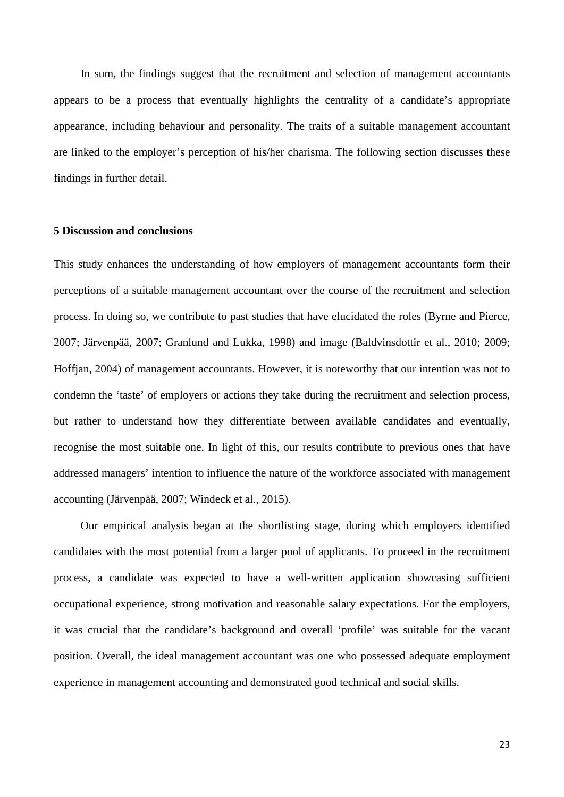In sum, the findings suggest that the recruitment and selection of management accountants appears to be a process that eventually highlights the centrality of a candidate's appropriate appearance, including behaviour and personality. The traits of a suitable management accountant are linked to the employer's perception of his/her charisma. The following section discusses these findings in further detail.

## **5 Discussion and conclusions**

This study enhances the understanding of how employers of management accountants form their perceptions of a suitable management accountant over the course of the recruitment and selection process. In doing so, we contribute to past studies that have elucidated the roles (Byrne and Pierce, 2007; Järvenpää, 2007; Granlund and Lukka, 1998) and image (Baldvinsdottir et al., 2010; 2009; Hoffjan, 2004) of management accountants. However, it is noteworthy that our intention was not to condemn the 'taste' of employers or actions they take during the recruitment and selection process, but rather to understand how they differentiate between available candidates and eventually, recognise the most suitable one. In light of this, our results contribute to previous ones that have addressed managers' intention to influence the nature of the workforce associated with management accounting (Järvenpää, 2007; Windeck et al., 2015).

Our empirical analysis began at the shortlisting stage, during which employers identified candidates with the most potential from a larger pool of applicants. To proceed in the recruitment process, a candidate was expected to have a well-written application showcasing sufficient occupational experience, strong motivation and reasonable salary expectations. For the employers, it was crucial that the candidate's background and overall 'profile' was suitable for the vacant position. Overall, the ideal management accountant was one who possessed adequate employment experience in management accounting and demonstrated good technical and social skills.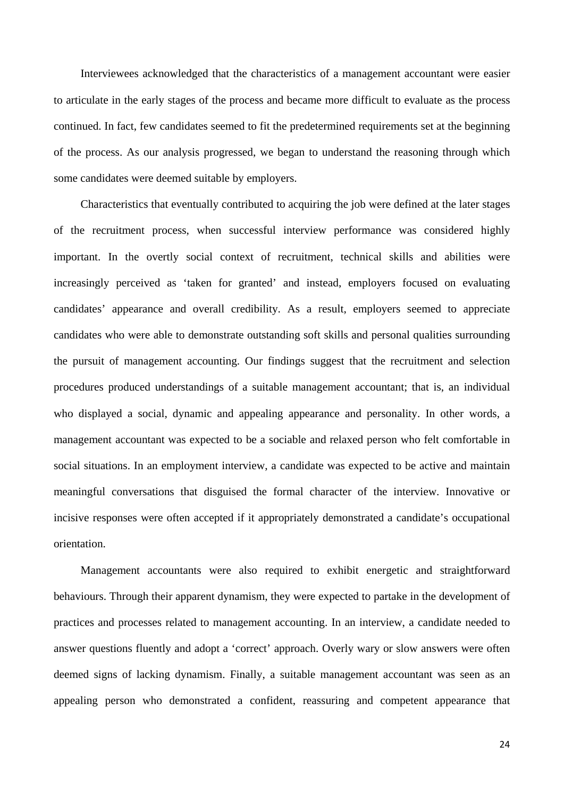Interviewees acknowledged that the characteristics of a management accountant were easier to articulate in the early stages of the process and became more difficult to evaluate as the process continued. In fact, few candidates seemed to fit the predetermined requirements set at the beginning of the process. As our analysis progressed, we began to understand the reasoning through which some candidates were deemed suitable by employers.

Characteristics that eventually contributed to acquiring the job were defined at the later stages of the recruitment process, when successful interview performance was considered highly important. In the overtly social context of recruitment, technical skills and abilities were increasingly perceived as 'taken for granted' and instead, employers focused on evaluating candidates' appearance and overall credibility. As a result, employers seemed to appreciate candidates who were able to demonstrate outstanding soft skills and personal qualities surrounding the pursuit of management accounting. Our findings suggest that the recruitment and selection procedures produced understandings of a suitable management accountant; that is, an individual who displayed a social, dynamic and appealing appearance and personality. In other words, a management accountant was expected to be a sociable and relaxed person who felt comfortable in social situations. In an employment interview, a candidate was expected to be active and maintain meaningful conversations that disguised the formal character of the interview. Innovative or incisive responses were often accepted if it appropriately demonstrated a candidate's occupational orientation.

Management accountants were also required to exhibit energetic and straightforward behaviours. Through their apparent dynamism, they were expected to partake in the development of practices and processes related to management accounting. In an interview, a candidate needed to answer questions fluently and adopt a 'correct' approach. Overly wary or slow answers were often deemed signs of lacking dynamism. Finally, a suitable management accountant was seen as an appealing person who demonstrated a confident, reassuring and competent appearance that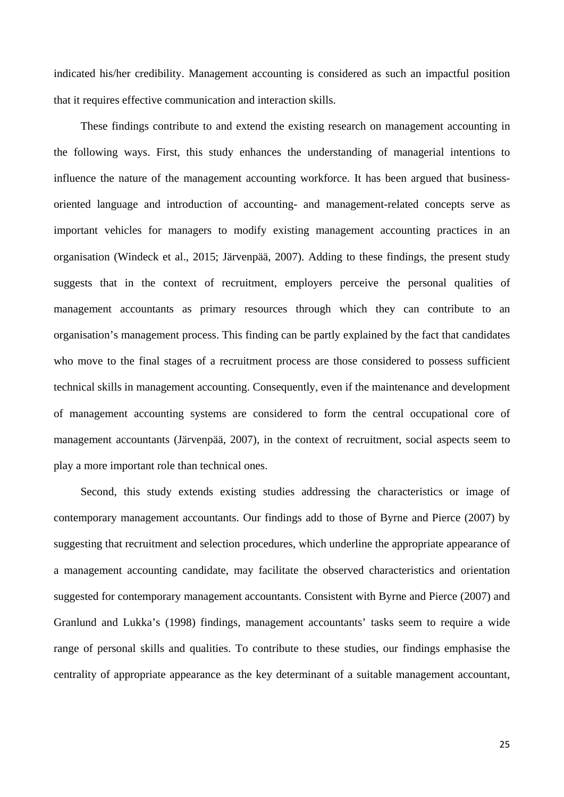indicated his/her credibility. Management accounting is considered as such an impactful position that it requires effective communication and interaction skills.

These findings contribute to and extend the existing research on management accounting in the following ways. First, this study enhances the understanding of managerial intentions to influence the nature of the management accounting workforce. It has been argued that businessoriented language and introduction of accounting- and management-related concepts serve as important vehicles for managers to modify existing management accounting practices in an organisation (Windeck et al., 2015; Järvenpää, 2007). Adding to these findings, the present study suggests that in the context of recruitment, employers perceive the personal qualities of management accountants as primary resources through which they can contribute to an organisation's management process. This finding can be partly explained by the fact that candidates who move to the final stages of a recruitment process are those considered to possess sufficient technical skills in management accounting. Consequently, even if the maintenance and development of management accounting systems are considered to form the central occupational core of management accountants (Järvenpää, 2007), in the context of recruitment, social aspects seem to play a more important role than technical ones.

Second, this study extends existing studies addressing the characteristics or image of contemporary management accountants. Our findings add to those of Byrne and Pierce (2007) by suggesting that recruitment and selection procedures, which underline the appropriate appearance of a management accounting candidate, may facilitate the observed characteristics and orientation suggested for contemporary management accountants. Consistent with Byrne and Pierce (2007) and Granlund and Lukka's (1998) findings, management accountants' tasks seem to require a wide range of personal skills and qualities. To contribute to these studies, our findings emphasise the centrality of appropriate appearance as the key determinant of a suitable management accountant,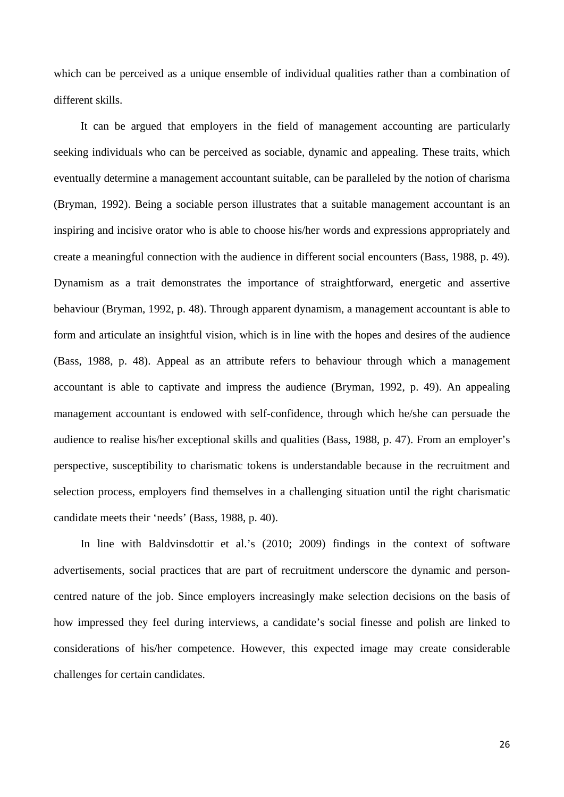which can be perceived as a unique ensemble of individual qualities rather than a combination of different skills.

It can be argued that employers in the field of management accounting are particularly seeking individuals who can be perceived as sociable, dynamic and appealing. These traits, which eventually determine a management accountant suitable, can be paralleled by the notion of charisma (Bryman, 1992). Being a sociable person illustrates that a suitable management accountant is an inspiring and incisive orator who is able to choose his/her words and expressions appropriately and create a meaningful connection with the audience in different social encounters (Bass, 1988, p. 49). Dynamism as a trait demonstrates the importance of straightforward, energetic and assertive behaviour (Bryman, 1992, p. 48). Through apparent dynamism, a management accountant is able to form and articulate an insightful vision, which is in line with the hopes and desires of the audience (Bass, 1988, p. 48). Appeal as an attribute refers to behaviour through which a management accountant is able to captivate and impress the audience (Bryman, 1992, p. 49). An appealing management accountant is endowed with self-confidence, through which he/she can persuade the audience to realise his/her exceptional skills and qualities (Bass, 1988, p. 47). From an employer's perspective, susceptibility to charismatic tokens is understandable because in the recruitment and selection process, employers find themselves in a challenging situation until the right charismatic candidate meets their 'needs' (Bass, 1988, p. 40).

In line with Baldvinsdottir et al.'s (2010; 2009) findings in the context of software advertisements, social practices that are part of recruitment underscore the dynamic and personcentred nature of the job. Since employers increasingly make selection decisions on the basis of how impressed they feel during interviews, a candidate's social finesse and polish are linked to considerations of his/her competence. However, this expected image may create considerable challenges for certain candidates.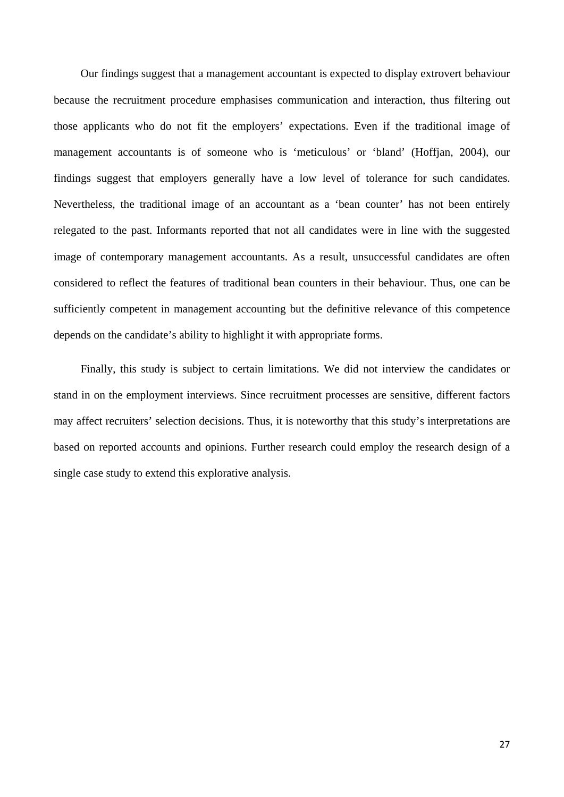Our findings suggest that a management accountant is expected to display extrovert behaviour because the recruitment procedure emphasises communication and interaction, thus filtering out those applicants who do not fit the employers' expectations. Even if the traditional image of management accountants is of someone who is 'meticulous' or 'bland' (Hoffjan, 2004), our findings suggest that employers generally have a low level of tolerance for such candidates. Nevertheless, the traditional image of an accountant as a 'bean counter' has not been entirely relegated to the past. Informants reported that not all candidates were in line with the suggested image of contemporary management accountants. As a result, unsuccessful candidates are often considered to reflect the features of traditional bean counters in their behaviour. Thus, one can be sufficiently competent in management accounting but the definitive relevance of this competence depends on the candidate's ability to highlight it with appropriate forms.

Finally, this study is subject to certain limitations. We did not interview the candidates or stand in on the employment interviews. Since recruitment processes are sensitive, different factors may affect recruiters' selection decisions. Thus, it is noteworthy that this study's interpretations are based on reported accounts and opinions. Further research could employ the research design of a single case study to extend this explorative analysis.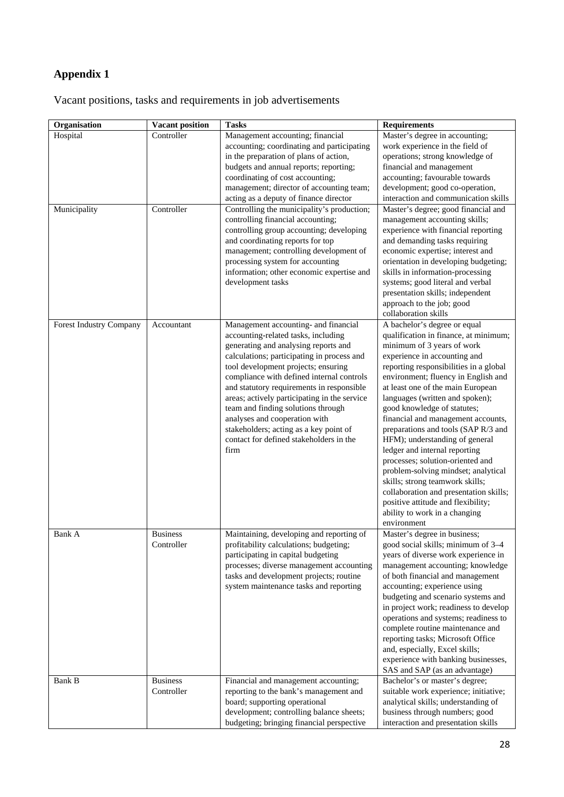# **Appendix 1**

Vacant positions, tasks and requirements in job advertisements

| Organisation            | <b>Vacant position</b>        | <b>Tasks</b>                                                                                                                                                                                                                                                                                                                                                                                                                                                                                                           | <b>Requirements</b>                                                                                                                                                                                                                                                                                                                                                                                                                                                                                                                                                                                                                                                                                                       |
|-------------------------|-------------------------------|------------------------------------------------------------------------------------------------------------------------------------------------------------------------------------------------------------------------------------------------------------------------------------------------------------------------------------------------------------------------------------------------------------------------------------------------------------------------------------------------------------------------|---------------------------------------------------------------------------------------------------------------------------------------------------------------------------------------------------------------------------------------------------------------------------------------------------------------------------------------------------------------------------------------------------------------------------------------------------------------------------------------------------------------------------------------------------------------------------------------------------------------------------------------------------------------------------------------------------------------------------|
| Hospital                | Controller                    | Management accounting; financial<br>accounting; coordinating and participating<br>in the preparation of plans of action,<br>budgets and annual reports; reporting;<br>coordinating of cost accounting;<br>management; director of accounting team;<br>acting as a deputy of finance director                                                                                                                                                                                                                           | Master's degree in accounting;<br>work experience in the field of<br>operations; strong knowledge of<br>financial and management<br>accounting; favourable towards<br>development; good co-operation,<br>interaction and communication skills                                                                                                                                                                                                                                                                                                                                                                                                                                                                             |
| Municipality            | Controller                    | Controlling the municipality's production;<br>controlling financial accounting;<br>controlling group accounting; developing<br>and coordinating reports for top<br>management; controlling development of<br>processing system for accounting<br>information; other economic expertise and<br>development tasks                                                                                                                                                                                                        | Master's degree; good financial and<br>management accounting skills;<br>experience with financial reporting<br>and demanding tasks requiring<br>economic expertise; interest and<br>orientation in developing budgeting;<br>skills in information-processing<br>systems; good literal and verbal<br>presentation skills; independent<br>approach to the job; good<br>collaboration skills                                                                                                                                                                                                                                                                                                                                 |
| Forest Industry Company | Accountant                    | Management accounting- and financial<br>accounting-related tasks, including<br>generating and analysing reports and<br>calculations; participating in process and<br>tool development projects; ensuring<br>compliance with defined internal controls<br>and statutory requirements in responsible<br>areas; actively participating in the service<br>team and finding solutions through<br>analyses and cooperation with<br>stakeholders; acting as a key point of<br>contact for defined stakeholders in the<br>firm | A bachelor's degree or equal<br>qualification in finance, at minimum;<br>minimum of 3 years of work<br>experience in accounting and<br>reporting responsibilities in a global<br>environment; fluency in English and<br>at least one of the main European<br>languages (written and spoken);<br>good knowledge of statutes;<br>financial and management accounts,<br>preparations and tools (SAP R/3 and<br>HFM); understanding of general<br>ledger and internal reporting<br>processes; solution-oriented and<br>problem-solving mindset; analytical<br>skills; strong teamwork skills;<br>collaboration and presentation skills;<br>positive attitude and flexibility;<br>ability to work in a changing<br>environment |
| Bank A                  | <b>Business</b><br>Controller | Maintaining, developing and reporting of<br>profitability calculations; budgeting;<br>participating in capital budgeting<br>processes; diverse management accounting<br>tasks and development projects; routine<br>system maintenance tasks and reporting                                                                                                                                                                                                                                                              | Master's degree in business;<br>good social skills; minimum of 3-4<br>years of diverse work experience in<br>management accounting; knowledge<br>of both financial and management<br>accounting; experience using<br>budgeting and scenario systems and<br>in project work; readiness to develop<br>operations and systems; readiness to<br>complete routine maintenance and<br>reporting tasks; Microsoft Office<br>and, especially, Excel skills;<br>experience with banking businesses,<br>SAS and SAP (as an advantage)                                                                                                                                                                                               |
| Bank B                  | <b>Business</b><br>Controller | Financial and management accounting;<br>reporting to the bank's management and<br>board; supporting operational<br>development; controlling balance sheets;<br>budgeting; bringing financial perspective                                                                                                                                                                                                                                                                                                               | Bachelor's or master's degree;<br>suitable work experience; initiative;<br>analytical skills; understanding of<br>business through numbers; good<br>interaction and presentation skills                                                                                                                                                                                                                                                                                                                                                                                                                                                                                                                                   |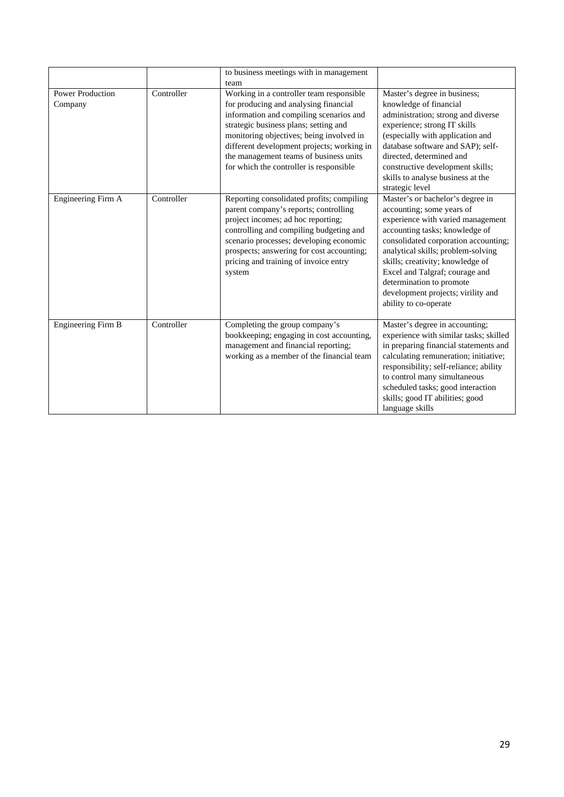|                                    |            | to business meetings with in management                                                                                                                                                                                                                                                                        |                                                                                                                                                                                                                                                                                                                                                                                     |
|------------------------------------|------------|----------------------------------------------------------------------------------------------------------------------------------------------------------------------------------------------------------------------------------------------------------------------------------------------------------------|-------------------------------------------------------------------------------------------------------------------------------------------------------------------------------------------------------------------------------------------------------------------------------------------------------------------------------------------------------------------------------------|
|                                    |            | team                                                                                                                                                                                                                                                                                                           |                                                                                                                                                                                                                                                                                                                                                                                     |
| <b>Power Production</b><br>Company | Controller | Working in a controller team responsible<br>for producing and analysing financial<br>information and compiling scenarios and<br>strategic business plans; setting and<br>monitoring objectives; being involved in<br>different development projects; working in                                                | Master's degree in business;<br>knowledge of financial<br>administration; strong and diverse<br>experience; strong IT skills<br>(especially with application and<br>database software and SAP); self-                                                                                                                                                                               |
|                                    |            | the management teams of business units<br>for which the controller is responsible                                                                                                                                                                                                                              | directed, determined and<br>constructive development skills;<br>skills to analyse business at the<br>strategic level                                                                                                                                                                                                                                                                |
| Engineering Firm A                 | Controller | Reporting consolidated profits; compiling<br>parent company's reports; controlling<br>project incomes; ad hoc reporting;<br>controlling and compiling budgeting and<br>scenario processes; developing economic<br>prospects; answering for cost accounting;<br>pricing and training of invoice entry<br>system | Master's or bachelor's degree in<br>accounting; some years of<br>experience with varied management<br>accounting tasks; knowledge of<br>consolidated corporation accounting;<br>analytical skills; problem-solving<br>skills; creativity; knowledge of<br>Excel and Talgraf; courage and<br>determination to promote<br>development projects; virility and<br>ability to co-operate |
| Engineering Firm B                 | Controller | Completing the group company's<br>bookkeeping; engaging in cost accounting,<br>management and financial reporting;<br>working as a member of the financial team                                                                                                                                                | Master's degree in accounting;<br>experience with similar tasks; skilled<br>in preparing financial statements and<br>calculating remuneration; initiative;<br>responsibility; self-reliance; ability<br>to control many simultaneous<br>scheduled tasks; good interaction<br>skills; good IT abilities; good<br>language skills                                                     |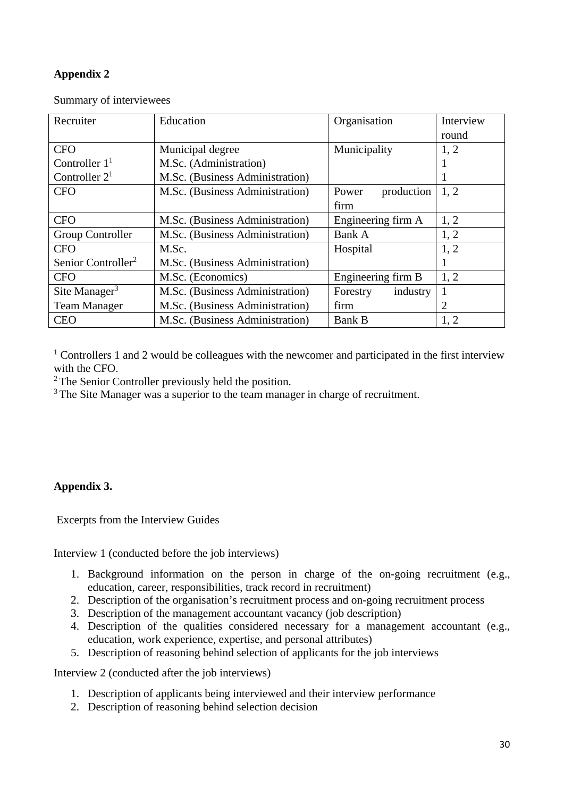## **Appendix 2**

| Recruiter                      | Education                       | Organisation         | Interview |
|--------------------------------|---------------------------------|----------------------|-----------|
|                                |                                 |                      | round     |
| <b>CFO</b>                     | Municipal degree                | Municipality         | 1, 2      |
| Controller $11$                | M.Sc. (Administration)          |                      |           |
| Controller $21$                | M.Sc. (Business Administration) |                      |           |
| <b>CFO</b>                     | M.Sc. (Business Administration) | production<br>Power  | 1, 2      |
|                                |                                 | firm                 |           |
| <b>CFO</b>                     | M.Sc. (Business Administration) | Engineering firm A   | 1, 2      |
| Group Controller               | M.Sc. (Business Administration) | Bank A               | 1, 2      |
| <b>CFO</b>                     | M.Sc.                           | Hospital             | 1, 2      |
| Senior Controller <sup>2</sup> | M.Sc. (Business Administration) |                      |           |
| <b>CFO</b>                     | M.Sc. (Economics)               | Engineering firm B   |           |
| Site Manager $3$               | M.Sc. (Business Administration) | industry<br>Forestry |           |
| <b>Team Manager</b>            | M.Sc. (Business Administration) | firm                 | 2         |
| <b>CEO</b>                     | M.Sc. (Business Administration) | <b>Bank B</b>        | 1, 2      |

Summary of interviewees

 $1$  Controllers 1 and 2 would be colleagues with the newcomer and participated in the first interview with the CFO.

<sup>2</sup> The Senior Controller previously held the position.

<sup>3</sup> The Site Manager was a superior to the team manager in charge of recruitment.

## **Appendix 3.**

Excerpts from the Interview Guides

Interview 1 (conducted before the job interviews)

- 1. Background information on the person in charge of the on-going recruitment (e.g., education, career, responsibilities, track record in recruitment)
- 2. Description of the organisation's recruitment process and on-going recruitment process
- 3. Description of the management accountant vacancy (job description)
- 4. Description of the qualities considered necessary for a management accountant (e.g., education, work experience, expertise, and personal attributes)
- 5. Description of reasoning behind selection of applicants for the job interviews

Interview 2 (conducted after the job interviews)

- 1. Description of applicants being interviewed and their interview performance
- 2. Description of reasoning behind selection decision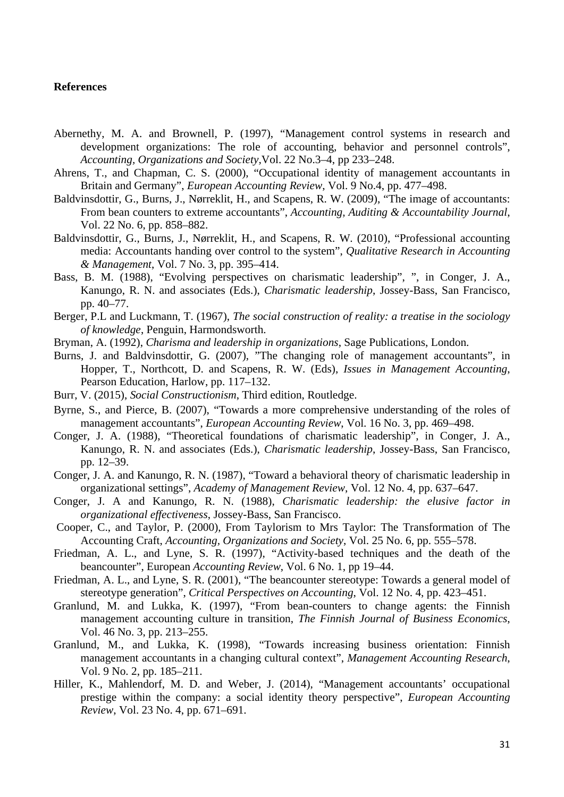## **References**

- Abernethy, M. A. and Brownell, P. (1997), "Management control systems in research and development organizations: The role of accounting, behavior and personnel controls", *Accounting, Organizations and Society,*Vol. 22 No.3–4, pp 233–248.
- Ahrens, T., and Chapman, C. S. (2000), "Occupational identity of management accountants in Britain and Germany", *European Accounting Review*, Vol. 9 No.4, pp. 477–498.
- Baldvinsdottir, G., Burns, J., Nørreklit, H., and Scapens, R. W. (2009), "The image of accountants: From bean counters to extreme accountants", *Accounting, Auditing & Accountability Journal*, Vol. 22 No. 6, pp. 858–882.
- Baldvinsdottir, G., Burns, J., Nørreklit, H., and Scapens, R. W. (2010), "Professional accounting media: Accountants handing over control to the system", *Qualitative Research in Accounting & Management*, Vol. 7 No. 3, pp. 395–414.
- Bass, B. M. (1988), "Evolving perspectives on charismatic leadership", ", in Conger, J. A., Kanungo, R. N. and associates (Eds.), *Charismatic leadership*, Jossey-Bass, San Francisco, pp. 40–77.
- Berger, P.L and Luckmann, T. (1967), *The social construction of reality: a treatise in the sociology of knowledge*, Penguin, Harmondsworth.
- Bryman, A. (1992), *Charisma and leadership in organizations*, Sage Publications, London.
- Burns, J. and Baldvinsdottir, G. (2007), "The changing role of management accountants", in Hopper, T., Northcott, D. and Scapens, R. W. (Eds), *Issues in Management Accounting*, Pearson Education, Harlow, pp. 117–132.
- Burr, V. (2015), *Social Constructionism*, Third edition, Routledge.
- Byrne, S., and Pierce, B. (2007), "Towards a more comprehensive understanding of the roles of management accountants", *European Accounting Review*, Vol. 16 No. 3, pp. 469–498.
- Conger, J. A. (1988), "Theoretical foundations of charismatic leadership", in Conger, J. A., Kanungo, R. N. and associates (Eds.), *Charismatic leadership*, Jossey-Bass, San Francisco, pp. 12–39.
- Conger, J. A. and Kanungo, R. N. (1987), "Toward a behavioral theory of charismatic leadership in organizational settings", *Academy of Management Review*, Vol. 12 No. 4, pp. 637–647.
- Conger, J. A and Kanungo, R. N. (1988), *Charismatic leadership: the elusive factor in organizational effectiveness*, Jossey-Bass, San Francisco.
- Cooper, C., and Taylor, P. (2000), From Taylorism to Mrs Taylor: The Transformation of The Accounting Craft, *Accounting, Organizations and Society*, Vol. 25 No. 6, pp. 555–578.
- Friedman, A. L., and Lyne, S. R. (1997), "Activity-based techniques and the death of the beancounter", European *Accounting Review*, Vol. 6 No. 1, pp 19–44.
- Friedman, A. L., and Lyne, S. R. (2001), "The beancounter stereotype: Towards a general model of stereotype generation", *Critical Perspectives on Accounting*, Vol. 12 No. 4, pp. 423–451.
- Granlund, M. and Lukka, K. (1997), "From bean-counters to change agents: the Finnish management accounting culture in transition, *The Finnish Journal of Business Economics*, Vol. 46 No. 3, pp. 213–255.
- Granlund, M., and Lukka, K. (1998), "Towards increasing business orientation: Finnish management accountants in a changing cultural context", *Management Accounting Research*, Vol. 9 No. 2, pp. 185–211.
- Hiller, K., Mahlendorf, M. D. and Weber, J. (2014), "Management accountants' occupational prestige within the company: a social identity theory perspective", *European Accounting Review*, Vol. 23 No. 4, pp. 671–691.